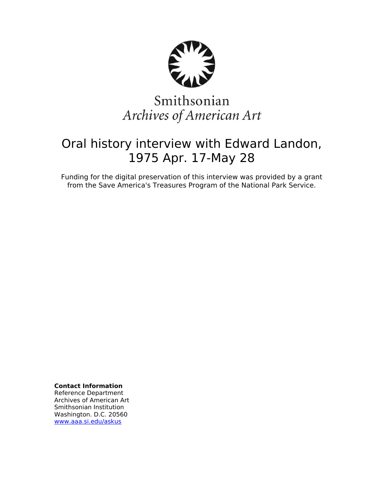

# Smithsonian Archives of American Art

## Oral history interview with Edward Landon, 1975 Apr. 17-May 28

Funding for the digital preservation of this interview was provided by a grant from the Save America's Treasures Program of the National Park Service.

**Contact Information**

Reference Department Archives of American Art Smithsonian Institution Washington. D.C. 20560 [www.aaa.si.edu/askus](http://www.aaa.si.edu/askus)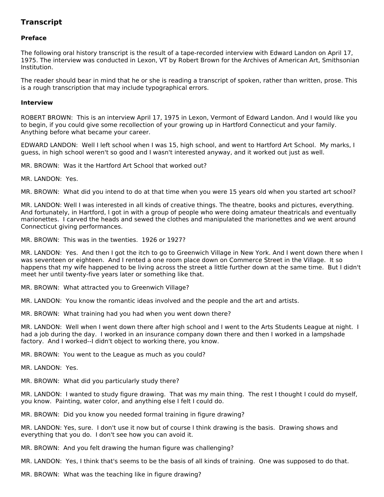### **Transcript**

### **Preface**

The following oral history transcript is the result of a tape-recorded interview with Edward Landon on April 17, 1975. The interview was conducted in Lexon, VT by Robert Brown for the Archives of American Art, Smithsonian Institution.

The reader should bear in mind that he or she is reading a transcript of spoken, rather than written, prose. This is a rough transcription that may include typographical errors.

#### **Interview**

ROBERT BROWN: This is an interview April 17, 1975 in Lexon, Vermont of Edward Landon. And I would like you to begin, if you could give some recollection of your growing up in Hartford Connecticut and your family. Anything before what became your career.

EDWARD LANDON: Well I left school when I was 15, high school, and went to Hartford Art School. My marks, I guess, in high school weren't so good and I wasn't interested anyway, and it worked out just as well.

MR. BROWN: Was it the Hartford Art School that worked out?

MR. LANDON: Yes.

MR. BROWN: What did you intend to do at that time when you were 15 years old when you started art school?

MR. LANDON: Well I was interested in all kinds of creative things. The theatre, books and pictures, everything. And fortunately, in Hartford, I got in with a group of people who were doing amateur theatricals and eventually marionettes. I carved the heads and sewed the clothes and manipulated the marionettes and we went around Connecticut giving performances.

MR. BROWN: This was in the twenties. 1926 or 1927?

MR. LANDON: Yes. And then I got the itch to go to Greenwich Village in New York. And I went down there when I was seventeen or eighteen. And I rented a one room place down on Commerce Street in the Village. It so happens that my wife happened to be living across the street a little further down at the same time. But I didn't meet her until twenty-five years later or something like that.

MR. BROWN: What attracted you to Greenwich Village?

MR. LANDON: You know the romantic ideas involved and the people and the art and artists.

MR. BROWN: What training had you had when you went down there?

MR. LANDON: Well when I went down there after high school and I went to the Arts Students League at night. I had a job during the day. I worked in an insurance company down there and then I worked in a lampshade factory. And I worked--I didn't object to working there, you know.

MR. BROWN: You went to the League as much as you could?

MR. LANDON: Yes.

MR. BROWN: What did you particularly study there?

MR. LANDON: I wanted to study figure drawing. That was my main thing. The rest I thought I could do myself, you know. Painting, water color, and anything else I felt I could do.

MR. BROWN: Did you know you needed formal training in figure drawing?

MR. LANDON: Yes, sure. I don't use it now but of course I think drawing is the basis. Drawing shows and everything that you do. I don't see how you can avoid it.

MR. BROWN: And you felt drawing the human figure was challenging?

MR. LANDON: Yes, I think that's seems to be the basis of all kinds of training. One was supposed to do that.

MR. BROWN: What was the teaching like in figure drawing?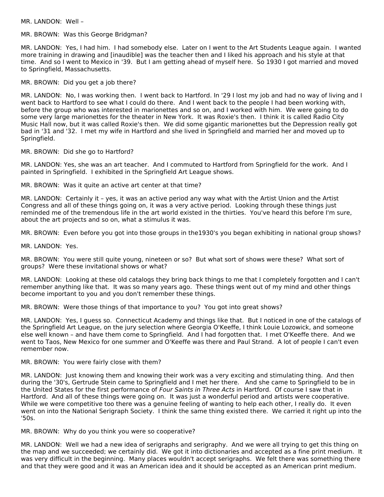MR. LANDON: Well –

MR. BROWN: Was this George Bridgman?

MR. LANDON: Yes, I had him. I had somebody else. Later on I went to the Art Students League again. I wanted more training in drawing and [inaudible] was the teacher then and I liked his approach and his style at that time. And so I went to Mexico in '39. But I am getting ahead of myself here. So 1930 I got married and moved to Springfield, Massachusetts.

MR. BROWN: Did you get a job there?

MR. LANDON: No, I was working then. I went back to Hartford. In '29 I lost my job and had no way of living and I went back to Hartford to see what I could do there. And I went back to the people I had been working with, before the group who was interested in marionettes and so on, and I worked with him. We were going to do some very large marionettes for the theater in New York. It was Roxie's then. I think it is called Radio City Music Hall now, but it was called Roxie's then. We did some gigantic marionettes but the Depression really got bad in '31 and '32. I met my wife in Hartford and she lived in Springfield and married her and moved up to Springfield.

MR. BROWN: Did she go to Hartford?

MR. LANDON: Yes, she was an art teacher. And I commuted to Hartford from Springfield for the work. And I painted in Springfield. I exhibited in the Springfield Art League shows.

MR. BROWN: Was it quite an active art center at that time?

MR. LANDON: Certainly it – yes, it was an active period any way what with the Artist Union and the Artist Congress and all of these things going on, it was a very active period. Looking through these things just reminded me of the tremendous life in the art world existed in the thirties. You've heard this before I'm sure, about the art projects and so on, what a stimulus it was.

MR. BROWN: Even before you got into those groups in the1930's you began exhibiting in national group shows?

MR. LANDON: Yes.

MR. BROWN: You were still quite young, nineteen or so? But what sort of shows were these? What sort of groups? Were these invitational shows or what?

MR. LANDON: Looking at these old catalogs they bring back things to me that I completely forgotten and I can't remember anything like that. It was so many years ago. These things went out of my mind and other things become important to you and you don't remember these things.

MR. BROWN: Were those things of that importance to you? You got into great shows?

MR. LANDON: Yes, I guess so. Connecticut Academy and things like that. But I noticed in one of the catalogs of the Springfield Art League, on the jury selection where Georgia O'Keeffe, I think Louie Lozowick, and someone else well known – and have them come to Springfield. And I had forgotten that. I met O'Keeffe there. And we went to Taos, New Mexico for one summer and O'Keeffe was there and Paul Strand. A lot of people I can't even remember now.

MR. BROWN: You were fairly close with them?

MR. LANDON: Just knowing them and knowing their work was a very exciting and stimulating thing. And then during the '30's, Gertrude Stein came to Springfield and I met her there. And she came to Springfield to be in the United States for the first performance of Four Saints in Three Acts in Hartford. Of course I saw that in Hartford. And all of these things were going on. It was just a wonderful period and artists were cooperative. While we were competitive too there was a genuine feeling of wanting to help each other, I really do. It even went on into the National Serigraph Society. I think the same thing existed there. We carried it right up into the '50s.

MR. BROWN: Why do you think you were so cooperative?

MR. LANDON: Well we had a new idea of serigraphs and serigraphy. And we were all trying to get this thing on the map and we succeeded; we certainly did. We got it into dictionaries and accepted as a fine print medium. It was very difficult in the beginning. Many places wouldn't accept serigraphs. We felt there was something there and that they were good and it was an American idea and it should be accepted as an American print medium.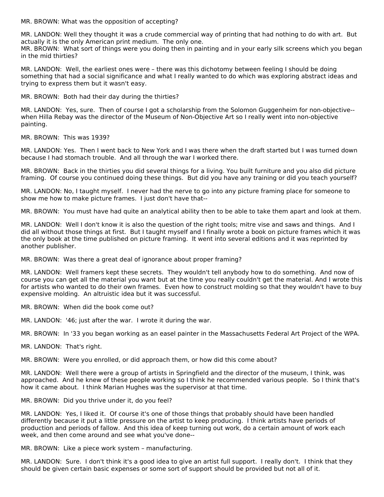MR. BROWN: What was the opposition of accepting?

MR. LANDON: Well they thought it was a crude commercial way of printing that had nothing to do with art. But actually it is the only American print medium. The only one.

MR. BROWN: What sort of things were you doing then in painting and in your early silk screens which you began in the mid thirties?

MR. LANDON: Well, the earliest ones were – there was this dichotomy between feeling I should be doing something that had a social significance and what I really wanted to do which was exploring abstract ideas and trying to express them but it wasn't easy.

MR. BROWN: Both had their day during the thirties?

MR. LANDON: Yes, sure. Then of course I got a scholarship from the Solomon Guggenheim for non-objective- when Hilla Rebay was the director of the Museum of Non-Objective Art so I really went into non-objective painting.

MR. BROWN: This was 1939?

MR. LANDON: Yes. Then I went back to New York and I was there when the draft started but I was turned down because I had stomach trouble. And all through the war I worked there.

MR. BROWN: Back in the thirties you did several things for a living. You built furniture and you also did picture framing. Of course you continued doing these things. But did you have any training or did you teach yourself?

MR. LANDON: No, I taught myself. I never had the nerve to go into any picture framing place for someone to show me how to make picture frames. I just don't have that--

MR. BROWN: You must have had quite an analytical ability then to be able to take them apart and look at them.

MR. LANDON: Well I don't know it is also the question of the right tools; mitre vise and saws and things. And I did all without those things at first. But I taught myself and I finally wrote a book on picture frames which it was the only book at the time published on picture framing. It went into several editions and it was reprinted by another publisher.

MR. BROWN: Was there a great deal of ignorance about proper framing?

MR. LANDON: Well framers kept these secrets. They wouldn't tell anybody how to do something. And now of course you can get all the material you want but at the time you really couldn't get the material. And I wrote this for artists who wanted to do their own frames. Even how to construct molding so that they wouldn't have to buy expensive molding. An altruistic idea but it was successful.

MR. BROWN: When did the book come out?

MR. LANDON: '46; just after the war. I wrote it during the war.

MR. BROWN: In '33 you began working as an easel painter in the Massachusetts Federal Art Project of the WPA.

MR. LANDON: That's right.

MR. BROWN: Were you enrolled, or did approach them, or how did this come about?

MR. LANDON: Well there were a group of artists in Springfield and the director of the museum, I think, was approached. And he knew of these people working so I think he recommended various people. So I think that's how it came about. I think Marian Hughes was the supervisor at that time.

MR. BROWN: Did you thrive under it, do you feel?

MR. LANDON: Yes, I liked it. Of course it's one of those things that probably should have been handled differently because it put a little pressure on the artist to keep producing. I think artists have periods of production and periods of fallow. And this idea of keep turning out work, do a certain amount of work each week, and then come around and see what you've done--

MR. BROWN: Like a piece work system – manufacturing.

MR. LANDON: Sure. I don't think it's a good idea to give an artist full support. I really don't. I think that they should be given certain basic expenses or some sort of support should be provided but not all of it.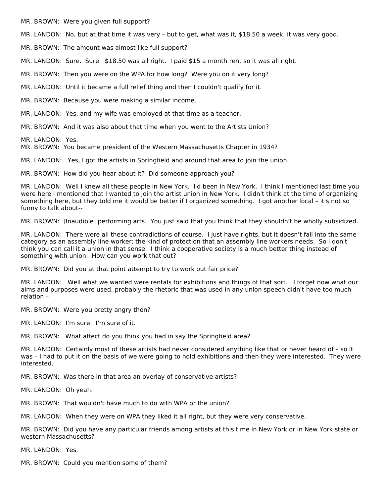MR. BROWN: Were you given full support?

MR. LANDON: No, but at that time it was very – but to get, what was it, \$18.50 a week; it was very good.

MR. BROWN: The amount was almost like full support?

MR. LANDON: Sure. Sure. \$18.50 was all right. I paid \$15 a month rent so it was all right.

MR. BROWN: Then you were on the WPA for how long? Were you on it very long?

MR. LANDON: Until it became a full relief thing and then I couldn't qualify for it.

MR. BROWN: Because you were making a similar income.

MR. LANDON: Yes, and my wife was employed at that time as a teacher.

MR. BROWN: And it was also about that time when you went to the Artists Union?

MR. LANDON: Yes.

MR. BROWN: You became president of the Western Massachusetts Chapter in 1934?

MR. LANDON: Yes, I got the artists in Springfield and around that area to join the union.

MR. BROWN: How did you hear about it? Did someone approach you?

MR. LANDON: Well I knew all these people in New York. I'd been in New York. I think I mentioned last time you were here I mentioned that I wanted to join the artist union in New York. I didn't think at the time of organizing something here, but they told me it would be better if I organized something. I got another local – it's not so funny to talk about--

MR. BROWN: [Inaudible] performing arts. You just said that you think that they shouldn't be wholly subsidized.

MR. LANDON: There were all these contradictions of course. I just have rights, but it doesn't fall into the same category as an assembly line worker; the kind of protection that an assembly line workers needs. So I don't think you can call it a union in that sense. I think a cooperative society is a much better thing instead of something with union. How can you work that out?

MR. BROWN: Did you at that point attempt to try to work out fair price?

MR. LANDON: Well what we wanted were rentals for exhibitions and things of that sort. I forget now what our aims and purposes were used, probably the rhetoric that was used in any union speech didn't have too much relation –

MR. BROWN: Were you pretty angry then?

MR. LANDON: I'm sure. I'm sure of it.

MR. BROWN: What affect do you think you had in say the Springfield area?

MR. LANDON: Certainly most of these artists had never considered anything like that or never heard of – so it was – I had to put it on the basis of we were going to hold exhibitions and then they were interested. They were interested.

MR. BROWN: Was there in that area an overlay of conservative artists?

MR. LANDON: Oh yeah.

MR. BROWN: That wouldn't have much to do with WPA or the union?

MR. LANDON: When they were on WPA they liked it all right, but they were very conservative.

MR. BROWN: Did you have any particular friends among artists at this time in New York or in New York state or western Massachusetts?

MR. LANDON: Yes.

MR. BROWN: Could you mention some of them?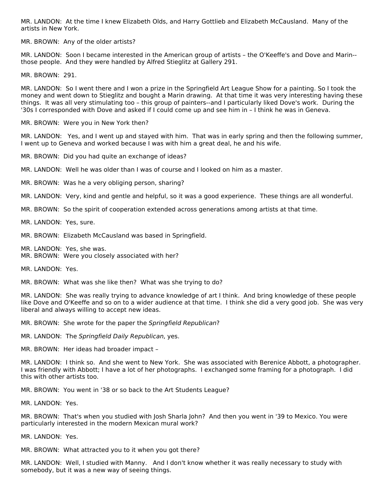MR. LANDON: At the time I knew Elizabeth Olds, and Harry Gottlieb and Elizabeth McCausland. Many of the artists in New York.

MR. BROWN: Any of the older artists?

MR. LANDON: Soon I became interested in the American group of artists – the O'Keeffe's and Dove and Marin- those people. And they were handled by Alfred Stieglitz at Gallery 291.

MR. BROWN: 291.

MR. LANDON: So I went there and I won a prize in the Springfield Art League Show for a painting. So I took the money and went down to Stieglitz and bought a Marin drawing. At that time it was very interesting having these things. It was all very stimulating too – this group of painters--and I particularly liked Dove's work. During the '30s I corresponded with Dove and asked if I could come up and see him in – I think he was in Geneva.

MR. BROWN: Were you in New York then?

MR. LANDON: Yes, and I went up and stayed with him. That was in early spring and then the following summer, I went up to Geneva and worked because I was with him a great deal, he and his wife.

MR. BROWN: Did you had quite an exchange of ideas?

MR. LANDON: Well he was older than I was of course and I looked on him as a master.

MR. BROWN: Was he a very obliging person, sharing?

MR. LANDON: Very, kind and gentle and helpful, so it was a good experience. These things are all wonderful.

MR. BROWN: So the spirit of cooperation extended across generations among artists at that time.

MR. LANDON: Yes, sure.

MR. BROWN: Elizabeth McCausland was based in Springfield.

MR. LANDON: Yes, she was. MR. BROWN: Were you closely associated with her?

MR. LANDON: Yes.

MR. BROWN: What was she like then? What was she trying to do?

MR. LANDON: She was really trying to advance knowledge of art I think. And bring knowledge of these people like Dove and O'Keeffe and so on to a wider audience at that time. I think she did a very good job. She was very liberal and always willing to accept new ideas.

MR. BROWN: She wrote for the paper the Springfield Republican?

MR. LANDON: The Springfield Daily Republican, yes.

MR. BROWN: Her ideas had broader impact –

MR. LANDON: I think so. And she went to New York. She was associated with Berenice Abbott, a photographer. I was friendly with Abbott; I have a lot of her photographs. I exchanged some framing for a photograph. I did this with other artists too.

MR. BROWN: You went in '38 or so back to the Art Students League?

MR. LANDON: Yes.

MR. BROWN: That's when you studied with Josh Sharla John? And then you went in '39 to Mexico. You were particularly interested in the modern Mexican mural work?

MR. LANDON: Yes.

MR. BROWN: What attracted you to it when you got there?

MR. LANDON: Well, I studied with Manny. And I don't know whether it was really necessary to study with somebody, but it was a new way of seeing things.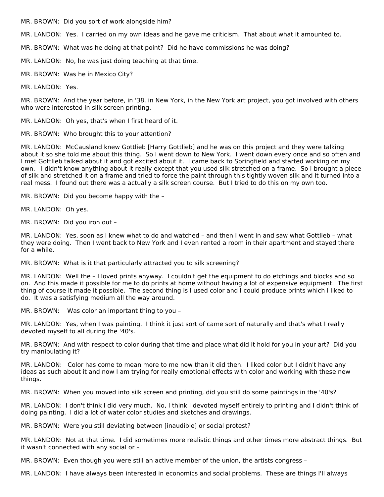MR. BROWN: Did you sort of work alongside him?

MR. LANDON: Yes. I carried on my own ideas and he gave me criticism. That about what it amounted to.

MR. BROWN: What was he doing at that point? Did he have commissions he was doing?

MR. LANDON: No, he was just doing teaching at that time.

MR. BROWN: Was he in Mexico City?

MR. LANDON: Yes.

MR. BROWN: And the year before, in '38, in New York, in the New York art project, you got involved with others who were interested in silk screen printing.

MR. LANDON: Oh yes, that's when I first heard of it.

MR. BROWN: Who brought this to your attention?

MR. LANDON: McCausland knew Gottlieb [Harry Gottlieb] and he was on this project and they were talking about it so she told me about this thing. So I went down to New York. I went down every once and so often and I met Gottlieb talked about it and got excited about it. I came back to Springfield and started working on my own. I didn't know anything about it really except that you used silk stretched on a frame. So I brought a piece of silk and stretched it on a frame and tried to force the paint through this tightly woven silk and it turned into a real mess. I found out there was a actually a silk screen course. But I tried to do this on my own too.

MR. BROWN: Did you become happy with the –

MR. LANDON: Oh yes.

MR. BROWN: Did you iron out –

MR. LANDON: Yes, soon as I knew what to do and watched – and then I went in and saw what Gottlieb – what they were doing. Then I went back to New York and I even rented a room in their apartment and stayed there for a while.

MR. BROWN: What is it that particularly attracted you to silk screening?

MR. LANDON: Well the – I loved prints anyway. I couldn't get the equipment to do etchings and blocks and so on. And this made it possible for me to do prints at home without having a lot of expensive equipment. The first thing of course it made it possible. The second thing is I used color and I could produce prints which I liked to do. It was a satisfying medium all the way around.

MR. BROWN: Was color an important thing to you –

MR. LANDON: Yes, when I was painting. I think it just sort of came sort of naturally and that's what I really devoted myself to all during the '40's.

MR. BROWN: And with respect to color during that time and place what did it hold for you in your art? Did you try manipulating it?

MR. LANDON: Color has come to mean more to me now than it did then. I liked color but I didn't have any ideas as such about it and now I am trying for really emotional effects with color and working with these new things.

MR. BROWN: When you moved into silk screen and printing, did you still do some paintings in the '40's?

MR. LANDON: I don't think I did very much. No, I think I devoted myself entirely to printing and I didn't think of doing painting. I did a lot of water color studies and sketches and drawings.

MR. BROWN: Were you still deviating between [inaudible] or social protest?

MR. LANDON: Not at that time. I did sometimes more realistic things and other times more abstract things. But it wasn't connected with any social or –

MR. BROWN: Even though you were still an active member of the union, the artists congress –

MR. LANDON: I have always been interested in economics and social problems. These are things I'll always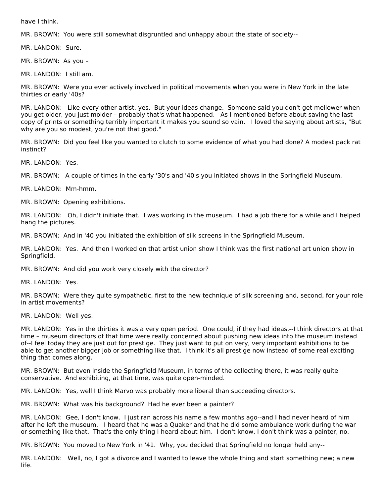have I think.

MR. BROWN: You were still somewhat disgruntled and unhappy about the state of society--

MR. LANDON: Sure.

MR. BROWN: As you –

MR. LANDON: I still am.

MR. BROWN: Were you ever actively involved in political movements when you were in New York in the late thirties or early '40s?

MR. LANDON: Like every other artist, yes. But your ideas change. Someone said you don't get mellower when you get older, you just molder – probably that's what happened. As I mentioned before about saving the last copy of prints or something terribly important it makes you sound so vain. I loved the saying about artists, "But why are you so modest, you're not that good."

MR. BROWN: Did you feel like you wanted to clutch to some evidence of what you had done? A modest pack rat instinct?

MR. LANDON: Yes.

MR. BROWN: A couple of times in the early '30's and '40's you initiated shows in the Springfield Museum.

MR. LANDON: Mm-hmm.

MR. BROWN: Opening exhibitions.

MR. LANDON: Oh, I didn't initiate that. I was working in the museum. I had a job there for a while and I helped hang the pictures.

MR. BROWN: And in '40 you initiated the exhibition of silk screens in the Springfield Museum.

MR. LANDON: Yes. And then I worked on that artist union show I think was the first national art union show in Springfield.

MR. BROWN: And did you work very closely with the director?

MR. LANDON: Yes.

MR. BROWN: Were they quite sympathetic, first to the new technique of silk screening and, second, for your role in artist movements?

MR. LANDON: Well yes.

MR. LANDON: Yes in the thirties it was a very open period. One could, if they had ideas,--I think directors at that time – museum directors of that time were really concerned about pushing new ideas into the museum instead of--I feel today they are just out for prestige. They just want to put on very, very important exhibitions to be able to get another bigger job or something like that. I think it's all prestige now instead of some real exciting thing that comes along.

MR. BROWN: But even inside the Springfield Museum, in terms of the collecting there, it was really quite conservative. And exhibiting, at that time, was quite open-minded.

MR. LANDON: Yes, well I think Marvo was probably more liberal than succeeding directors.

MR. BROWN: What was his background? Had he ever been a painter?

MR. LANDON: Gee, I don't know. I just ran across his name a few months ago--and I had never heard of him after he left the museum. I heard that he was a Quaker and that he did some ambulance work during the war or something like that. That's the only thing I heard about him. I don't know, I don't think was a painter, no.

MR. BROWN: You moved to New York in '41. Why, you decided that Springfield no longer held any--

MR. LANDON: Well, no, I got a divorce and I wanted to leave the whole thing and start something new; a new life.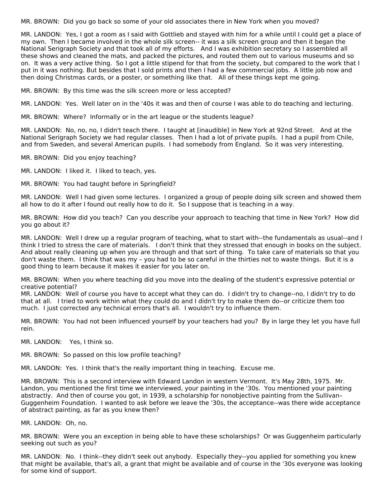MR. BROWN: Did you go back so some of your old associates there in New York when you moved?

MR. LANDON: Yes, I got a room as I said with Gottlieb and stayed with him for a while until I could get a place of my own. Then I became involved in the whole silk screen-- it was a silk screen group and then it began the National Serigraph Society and that took all of my efforts. And I was exhibition secretary so I assembled all these shows and cleaned the mats, and packed the pictures, and routed them out to various museums and so on. It was a very active thing. So I got a little stipend for that from the society, but compared to the work that I put in it was nothing. But besides that I sold prints and then I had a few commercial jobs. A little job now and then doing Christmas cards, or a poster, or something like that. All of these things kept me going.

MR. BROWN: By this time was the silk screen more or less accepted?

MR. LANDON: Yes. Well later on in the '40s it was and then of course I was able to do teaching and lecturing.

MR. BROWN: Where? Informally or in the art league or the students league?

MR. LANDON: No, no, no, I didn't teach there. I taught at [inaudible] in New York at 92nd Street. And at the National Serigraph Society we had regular classes. Then I had a lot of private pupils. I had a pupil from Chile, and from Sweden, and several American pupils. I had somebody from England. So it was very interesting.

MR. BROWN: Did you enjoy teaching?

MR. LANDON: I liked it. I liked to teach, yes.

MR. BROWN: You had taught before in Springfield?

MR. LANDON: Well I had given some lectures. I organized a group of people doing silk screen and showed them all how to do it after I found out really how to do it. So I suppose that is teaching in a way.

MR. BROWN: How did you teach? Can you describe your approach to teaching that time in New York? How did you go about it?

MR. LANDON: Well I drew up a regular program of teaching, what to start with--the fundamentals as usual--and I think I tried to stress the care of materials. I don't think that they stressed that enough in books on the subject. And about really cleaning up when you are through and that sort of thing. To take care of materials so that you don't waste them. I think that was my – you had to be so careful in the thirties not to waste things. But it is a good thing to learn because it makes it easier for you later on.

MR. BROWN: When you where teaching did you move into the dealing of the student's expressive potential or creative potential?

MR. LANDON: Well of course you have to accept what they can do. I didn't try to change--no, I didn't try to do that at all. I tried to work within what they could do and I didn't try to make them do--or criticize them too much. I just corrected any technical errors that's all. I wouldn't try to influence them.

MR. BROWN: You had not been influenced yourself by your teachers had you? By in large they let you have full rein.

MR. LANDON: Yes, I think so.

MR. BROWN: So passed on this low profile teaching?

MR. LANDON: Yes. I think that's the really important thing in teaching. Excuse me.

MR. BROWN: This is a second interview with Edward Landon in western Vermont. It's May 28th, 1975. Mr. Landon, you mentioned the first time we interviewed, your painting in the '30s. You mentioned your painting abstractly. And then of course you got, in 1939, a scholarship for nonobjective painting from the Sullivan– Guggenheim Foundation. I wanted to ask before we leave the '30s, the acceptance--was there wide acceptance of abstract painting, as far as you knew then?

MR. LANDON: Oh, no.

MR. BROWN: Were you an exception in being able to have these scholarships? Or was Guggenheim particularly seeking out such as you?

MR. LANDON: No. I think--they didn't seek out anybody. Especially they--you applied for something you knew that might be available, that's all, a grant that might be available and of course in the '30s everyone was looking for some kind of support.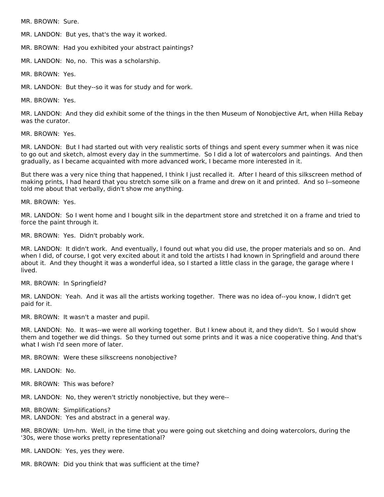MR. BROWN: Sure.

MR. LANDON: But yes, that's the way it worked.

MR. BROWN: Had you exhibited your abstract paintings?

MR. LANDON: No, no. This was a scholarship.

MR. BROWN: Yes.

MR. LANDON: But they--so it was for study and for work.

MR. BROWN: Yes.

MR. LANDON: And they did exhibit some of the things in the then Museum of Nonobjective Art, when Hilla Rebay was the curator.

MR. BROWN: Yes.

MR. LANDON: But I had started out with very realistic sorts of things and spent every summer when it was nice to go out and sketch, almost every day in the summertime. So I did a lot of watercolors and paintings. And then gradually, as I became acquainted with more advanced work, I became more interested in it.

But there was a very nice thing that happened, I think I just recalled it. After I heard of this silkscreen method of making prints, I had heard that you stretch some silk on a frame and drew on it and printed. And so I--someone told me about that verbally, didn't show me anything.

MR. BROWN: Yes.

MR. LANDON: So I went home and I bought silk in the department store and stretched it on a frame and tried to force the paint through it.

MR. BROWN: Yes. Didn't probably work.

MR. LANDON: It didn't work. And eventually, I found out what you did use, the proper materials and so on. And when I did, of course, I got very excited about it and told the artists I had known in Springfield and around there about it. And they thought it was a wonderful idea, so I started a little class in the garage, the garage where I lived.

MR. BROWN: In Springfield?

MR. LANDON: Yeah. And it was all the artists working together. There was no idea of--you know, I didn't get paid for it.

MR. BROWN: It wasn't a master and pupil.

MR. LANDON: No. It was--we were all working together. But I knew about it, and they didn't. So I would show them and together we did things. So they turned out some prints and it was a nice cooperative thing. And that's what I wish I'd seen more of later.

MR. BROWN: Were these silkscreens nonobjective?

MR. LANDON: No.

MR. BROWN: This was before?

MR. LANDON: No, they weren't strictly nonobjective, but they were--

MR. BROWN: Simplifications?

MR. LANDON: Yes and abstract in a general way.

MR. BROWN: Um-hm. Well, in the time that you were going out sketching and doing watercolors, during the '30s, were those works pretty representational?

MR. LANDON: Yes, yes they were.

MR. BROWN: Did you think that was sufficient at the time?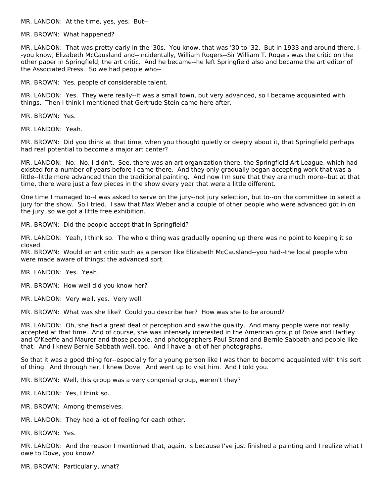MR. LANDON: At the time, yes, yes. But--

MR. BROWN: What happened?

MR. LANDON: That was pretty early in the '30s. You know, that was '30 to '32. But in 1933 and around there, I- -you know, Elizabeth McCausland and--incidentally, William Rogers--Sir William T. Rogers was the critic on the other paper in Springfield, the art critic. And he became--he left Springfield also and became the art editor of the Associated Press. So we had people who--

MR. BROWN: Yes, people of considerable talent.

MR. LANDON: Yes. They were really--it was a small town, but very advanced, so I became acquainted with things. Then I think I mentioned that Gertrude Stein came here after.

MR. BROWN: Yes.

MR. LANDON: Yeah.

MR. BROWN: Did you think at that time, when you thought quietly or deeply about it, that Springfield perhaps had real potential to become a major art center?

MR. LANDON: No. No, I didn't. See, there was an art organization there, the Springfield Art League, which had existed for a number of years before I came there. And they only gradually began accepting work that was a little--little more advanced than the traditional painting. And now I'm sure that they are much more--but at that time, there were just a few pieces in the show every year that were a little different.

One time I managed to--I was asked to serve on the jury--not jury selection, but to--on the committee to select a jury for the show. So I tried. I saw that Max Weber and a couple of other people who were advanced got in on the jury, so we got a little free exhibition.

MR. BROWN: Did the people accept that in Springfield?

MR. LANDON: Yeah, I think so. The whole thing was gradually opening up there was no point to keeping it so closed.

MR. BROWN: Would an art critic such as a person like Elizabeth McCausland--you had--the local people who were made aware of things; the advanced sort.

MR. LANDON: Yes. Yeah.

MR. BROWN: How well did you know her?

MR. LANDON: Very well, yes. Very well.

MR. BROWN: What was she like? Could you describe her? How was she to be around?

MR. LANDON: Oh, she had a great deal of perception and saw the quality. And many people were not really accepted at that time. And of course, she was intensely interested in the American group of Dove and Hartley and O'Keeffe and Maurer and those people, and photographers Paul Strand and Bernie Sabbath and people like that. And I knew Bernie Sabbath well, too. And I have a lot of her photographs.

So that it was a good thing for--especially for a young person like I was then to become acquainted with this sort of thing. And through her, I knew Dove. And went up to visit him. And I told you.

MR. BROWN: Well, this group was a very congenial group, weren't they?

MR. LANDON: Yes, I think so.

MR. BROWN: Among themselves.

MR. LANDON: They had a lot of feeling for each other.

MR. BROWN: Yes.

MR. LANDON: And the reason I mentioned that, again, is because I've just finished a painting and I realize what I owe to Dove, you know?

MR. BROWN: Particularly, what?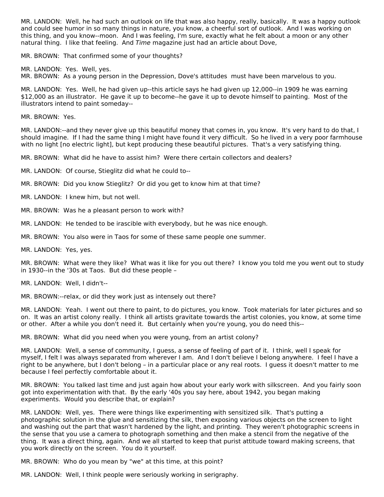MR. LANDON: Well, he had such an outlook on life that was also happy, really, basically. It was a happy outlook and could see humor in so many things in nature, you know, a cheerful sort of outlook. And I was working on this thing, and you know--moon. And I was feeling, I'm sure, exactly what he felt about a moon or any other natural thing. I like that feeling. And Time magazine just had an article about Dove,

MR. BROWN: That confirmed some of your thoughts?

MR. LANDON: Yes. Well, yes.

MR. BROWN: As a young person in the Depression, Dove's attitudes must have been marvelous to you.

MR. LANDON: Yes. Well, he had given up--this article says he had given up 12,000--in 1909 he was earning \$12,000 as an illustrator. He gave it up to become--he gave it up to devote himself to painting. Most of the illustrators intend to paint someday--

MR. BROWN: Yes.

MR. LANDON:--and they never give up this beautiful money that comes in, you know. It's very hard to do that, I should imagine. If I had the same thing I might have found it very difficult. So he lived in a very poor farmhouse with no light [no electric light], but kept producing these beautiful pictures. That's a very satisfying thing.

MR. BROWN: What did he have to assist him? Were there certain collectors and dealers?

MR. LANDON: Of course, Stieglitz did what he could to--

MR. BROWN: Did you know Stieglitz? Or did you get to know him at that time?

MR. LANDON: I knew him, but not well.

MR. BROWN: Was he a pleasant person to work with?

MR. LANDON: He tended to be irascible with everybody, but he was nice enough.

MR. BROWN: You also were in Taos for some of these same people one summer.

MR. LANDON: Yes, yes.

MR. BROWN: What were they like? What was it like for you out there? I know you told me you went out to study in 1930--in the '30s at Taos. But did these people –

MR. LANDON: Well, I didn't--

MR. BROWN:--relax, or did they work just as intensely out there?

MR. LANDON: Yeah. I went out there to paint, to do pictures, you know. Took materials for later pictures and so on. It was an artist colony really. I think all artists gravitate towards the artist colonies, you know, at some time or other. After a while you don't need it. But certainly when you're young, you do need this--

MR. BROWN: What did you need when you were young, from an artist colony?

MR. LANDON: Well, a sense of community, I guess, a sense of feeling of part of it. I think, well I speak for myself, I felt I was always separated from wherever I am. And I don't believe I belong anywhere. I feel I have a right to be anywhere, but I don't belong – in a particular place or any real roots. I guess it doesn't matter to me because I feel perfectly comfortable about it.

MR. BROWN: You talked last time and just again how about your early work with silkscreen. And you fairly soon got into experimentation with that. By the early '40s you say here, about 1942, you began making experiments. Would you describe that, or explain?

MR. LANDON: Well, yes. There were things like experimenting with sensitized silk. That's putting a photographic solution in the glue and sensitizing the silk, then exposing various objects on the screen to light and washing out the part that wasn't hardened by the light, and printing. They weren't photographic screens in the sense that you use a camera to photograph something and then make a stencil from the negative of the thing. It was a direct thing, again. And we all started to keep that purist attitude toward making screens, that you work directly on the screen. You do it yourself.

MR. BROWN: Who do you mean by "we" at this time, at this point?

MR. LANDON: Well, I think people were seriously working in serigraphy.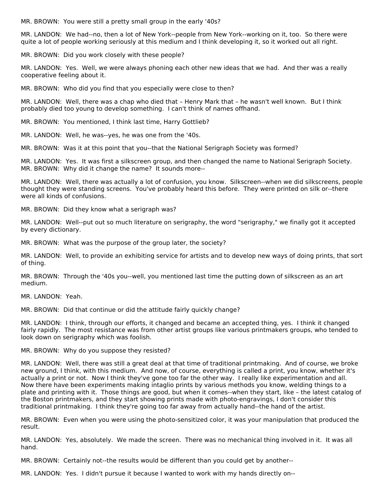MR. BROWN: You were still a pretty small group in the early '40s?

MR. LANDON: We had--no, then a lot of New York--people from New York--working on it, too. So there were quite a lot of people working seriously at this medium and I think developing it, so it worked out all right.

MR. BROWN: Did you work closely with these people?

MR. LANDON: Yes. Well, we were always phoning each other new ideas that we had. And ther was a really cooperative feeling about it.

MR. BROWN: Who did you find that you especially were close to then?

MR. LANDON: Well, there was a chap who died that – Henry Mark that – he wasn't well known. But I think probably died too young to develop something. I can't think of names offhand.

MR. BROWN: You mentioned, I think last time, Harry Gottlieb?

MR. LANDON: Well, he was--yes, he was one from the '40s.

MR. BROWN: Was it at this point that you--that the National Serigraph Society was formed?

MR. LANDON: Yes. It was first a silkscreen group, and then changed the name to National Serigraph Society. MR. BROWN: Why did it change the name? It sounds more--

MR. LANDON: Well, there was actually a lot of confusion, you know. Silkscreen--when we did silkscreens, people thought they were standing screens. You've probably heard this before. They were printed on silk or--there were all kinds of confusions.

MR. BROWN: Did they know what a serigraph was?

MR. LANDON: Well--put out so much literature on serigraphy, the word "serigraphy," we finally got it accepted by every dictionary.

MR. BROWN: What was the purpose of the group later, the society?

MR. LANDON: Well, to provide an exhibiting service for artists and to develop new ways of doing prints, that sort of thing.

MR. BROWN: Through the '40s you--well, you mentioned last time the putting down of silkscreen as an art medium.

MR. LANDON: Yeah.

MR. BROWN: Did that continue or did the attitude fairly quickly change?

MR. LANDON: I think, through our efforts, it changed and became an accepted thing, yes. I think it changed fairly rapidly. The most resistance was from other artist groups like various printmakers groups, who tended to look down on serigraphy which was foolish.

MR. BROWN: Why do you suppose they resisted?

MR. LANDON: Well, there was still a great deal at that time of traditional printmaking. And of course, we broke new ground, I think, with this medium. And now, of course, everything is called a print, you know, whether it's actually a print or not. Now I think they've gone too far the other way. I really like experimentation and all. Now there have been experiments making intaglio prints by various methods you know, welding things to a plate and printing with it. Those things are good, but when it comes--when they start, like – the latest catalog of the Boston printmakers, and they start showing prints made with photo-engravings, I don't consider this traditional printmaking. I think they're going too far away from actually hand--the hand of the artist.

MR. BROWN: Even when you were using the photo-sensitized color, it was your manipulation that produced the result.

MR. LANDON: Yes, absolutely. We made the screen. There was no mechanical thing involved in it. It was all hand.

MR. BROWN: Certainly not--the results would be different than you could get by another--

MR. LANDON: Yes. I didn't pursue it because I wanted to work with my hands directly on--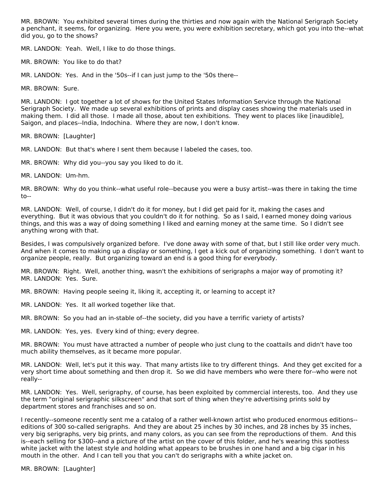MR. BROWN: You exhibited several times during the thirties and now again with the National Serigraph Society a penchant, it seems, for organizing. Here you were, you were exhibition secretary, which got you into the--what did you, go to the shows?

MR. LANDON: Yeah. Well, I like to do those things.

MR. BROWN: You like to do that?

MR. LANDON: Yes. And in the '50s--if I can just jump to the '50s there--

MR. BROWN: Sure.

MR. LANDON: I got together a lot of shows for the United States Information Service through the National Serigraph Society. We made up several exhibitions of prints and display cases showing the materials used in making them. I did all those. I made all those, about ten exhibitions. They went to places like [inaudible], Saigon, and places--India, Indochina. Where they are now, I don't know.

MR. BROWN: [Laughter]

MR. LANDON: But that's where I sent them because I labeled the cases, too.

MR. BROWN: Why did you--you say you liked to do it.

MR. LANDON: Um-hm.

MR. BROWN: Why do you think--what useful role--because you were a busy artist--was there in taking the time to--

MR. LANDON: Well, of course, I didn't do it for money, but I did get paid for it, making the cases and everything. But it was obvious that you couldn't do it for nothing. So as I said, I earned money doing various things, and this was a way of doing something I liked and earning money at the same time. So I didn't see anything wrong with that.

Besides, I was compulsively organized before. I've done away with some of that, but I still like order very much. And when it comes to making up a display or something, I get a kick out of organizing something. I don't want to organize people, really. But organizing toward an end is a good thing for everybody.

MR. BROWN: Right. Well, another thing, wasn't the exhibitions of serigraphs a major way of promoting it? MR. LANDON: Yes. Sure.

MR. BROWN: Having people seeing it, liking it, accepting it, or learning to accept it?

MR. LANDON: Yes. It all worked together like that.

MR. BROWN: So you had an in-stable of--the society, did you have a terrific variety of artists?

MR. LANDON: Yes, yes. Every kind of thing; every degree.

MR. BROWN: You must have attracted a number of people who just clung to the coattails and didn't have too much ability themselves, as it became more popular.

MR. LANDON: Well, let's put it this way. That many artists like to try different things. And they get excited for a very short time about something and then drop it. So we did have members who were there for--who were not really--

MR. LANDON: Yes. Well, serigraphy, of course, has been exploited by commercial interests, too. And they use the term "original serigraphic silkscreen" and that sort of thing when they're advertising prints sold by department stores and franchises and so on.

I recently--someone recently sent me a catalog of a rather well-known artist who produced enormous editions- editions of 300 so-called serigraphs. And they are about 25 inches by 30 inches, and 28 inches by 35 inches, very big serigraphs, very big prints, and many colors, as you can see from the reproductions of them. And this is--each selling for \$300--and a picture of the artist on the cover of this folder, and he's wearing this spotless white jacket with the latest style and holding what appears to be brushes in one hand and a big cigar in his mouth in the other. And I can tell you that you can't do serigraphs with a white jacket on.

MR. BROWN: [Laughter]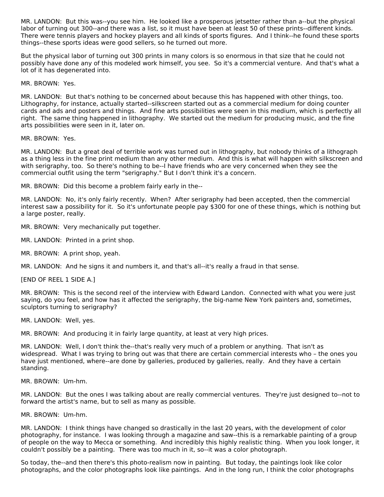MR. LANDON: But this was--you see him. He looked like a prosperous jetsetter rather than a--but the physical labor of turning out 300--and there was a list, so it must have been at least 50 of these prints--different kinds. There were tennis players and hockey players and all kinds of sports figures. And I think--he found these sports things--these sports ideas were good sellers, so he turned out more.

But the physical labor of turning out 300 prints in many colors is so enormous in that size that he could not possibly have done any of this modeled work himself, you see. So it's a commercial venture. And that's what a lot of it has degenerated into.

MR. BROWN: Yes.

MR. LANDON: But that's nothing to be concerned about because this has happened with other things, too. Lithography, for instance, actually started--silkscreen started out as a commercial medium for doing counter cards and ads and posters and things. And fine arts possibilities were seen in this medium, which is perfectly all right. The same thing happened in lithography. We started out the medium for producing music, and the fine arts possibilities were seen in it, later on.

MR. BROWN: Yes.

MR. LANDON: But a great deal of terrible work was turned out in lithography, but nobody thinks of a lithograph as a thing less in the fine print medium than any other medium. And this is what will happen with silkscreen and with serigraphy, too. So there's nothing to be--I have friends who are very concerned when they see the commercial outfit using the term "serigraphy." But I don't think it's a concern.

MR. BROWN: Did this become a problem fairly early in the--

MR. LANDON: No, it's only fairly recently. When? After serigraphy had been accepted, then the commercial interest saw a possibility for it. So it's unfortunate people pay \$300 for one of these things, which is nothing but a large poster, really.

MR. BROWN: Very mechanically put together.

MR. LANDON: Printed in a print shop.

MR. BROWN: A print shop, yeah.

MR. LANDON: And he signs it and numbers it, and that's all--it's really a fraud in that sense.

[END OF REEL 1 SIDE A.]

MR. BROWN: This is the second reel of the interview with Edward Landon. Connected with what you were just saying, do you feel, and how has it affected the serigraphy, the big-name New York painters and, sometimes, sculptors turning to serigraphy?

MR. LANDON: Well, yes.

MR. BROWN: And producing it in fairly large quantity, at least at very high prices.

MR. LANDON: Well, I don't think the--that's really very much of a problem or anything. That isn't as widespread. What I was trying to bring out was that there are certain commercial interests who – the ones you have just mentioned, where--are done by galleries, produced by galleries, really. And they have a certain standing.

MR. BROWN: Um-hm.

MR. LANDON: But the ones I was talking about are really commercial ventures. They're just designed to--not to forward the artist's name, but to sell as many as possible.

MR. BROWN: Um-hm.

MR. LANDON: I think things have changed so drastically in the last 20 years, with the development of color photography, for instance. I was looking through a magazine and saw--this is a remarkable painting of a group of people on the way to Mecca or something. And incredibly this highly realistic thing. When you look longer, it couldn't possibly be a painting. There was too much in it, so--it was a color photograph.

So today, the--and then there's this photo-realism now in painting. But today, the paintings look like color photographs, and the color photographs look like paintings. And in the long run, I think the color photographs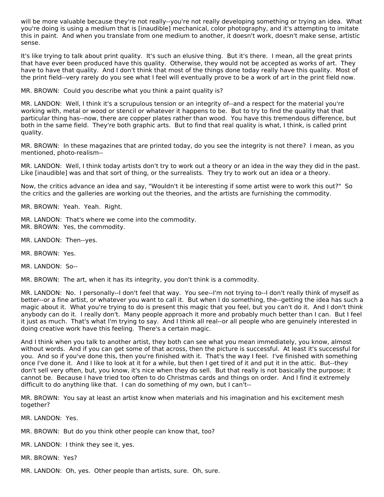will be more valuable because they're not really--you're not really developing something or trying an idea. What you're doing is using a medium that is [inaudible] mechanical, color photography, and it's attempting to imitate this in paint. And when you translate from one medium to another, it doesn't work, doesn't make sense, artistic sense.

It's like trying to talk about print quality. It's such an elusive thing. But it's there. I mean, all the great prints that have ever been produced have this quality. Otherwise, they would not be accepted as works of art. They have to have that quality. And I don't think that most of the things done today really have this quality. Most of the print field--very rarely do you see what I feel will eventually prove to be a work of art in the print field now.

MR. BROWN: Could you describe what you think a paint quality is?

MR. LANDON: Well, I think it's a scrupulous tension or an integrity of--and a respect for the material you're working with, metal or wood or stencil or whatever it happens to be. But to try to find the quality that that particular thing has--now, there are copper plates rather than wood. You have this tremendous difference, but both in the same field. They're both graphic arts. But to find that real quality is what, I think, is called print quality.

MR. BROWN: In these magazines that are printed today, do you see the integrity is not there? I mean, as you mentioned, photo-realism--

MR. LANDON: Well, I think today artists don't try to work out a theory or an idea in the way they did in the past. Like [inaudible] was and that sort of thing, or the surrealists. They try to work out an idea or a theory.

Now, the critics advance an idea and say, "Wouldn't it be interesting if some artist were to work this out?" So the critics and the galleries are working out the theories, and the artists are furnishing the commodity.

MR. BROWN: Yeah. Yeah. Right.

- MR. LANDON: That's where we come into the commodity. MR. BROWN: Yes, the commodity.
- MR. LANDON: Then--yes.
- MR. BROWN: Yes.

MR. LANDON: So--

MR. BROWN: The art, when it has its integrity, you don't think is a commodity.

MR. LANDON: No. I personally--I don't feel that way. You see--I'm not trying to--I don't really think of myself as better--or a fine artist, or whatever you want to call it. But when I do something, the--getting the idea has such a magic about it. What you're trying to do is present this magic that you feel, but you can't do it. And I don't think anybody can do it. I really don't. Many people approach it more and probably much better than I can. But I feel it just as much. That's what I'm trying to say. And I think all real--or all people who are genuinely interested in doing creative work have this feeling. There's a certain magic.

And I think when you talk to another artist, they both can see what you mean immediately, you know, almost without words. And if you can get some of that across, then the picture is successful. At least it's successful for you. And so if you've done this, then you're finished with it. That's the way I feel. I've finished with something once I've done it. And I like to look at it for a while, but then I get tired of it and put it in the attic. But--they don't sell very often, but, you know, it's nice when they do sell. But that really is not basically the purpose; it cannot be. Because I have tried too often to do Christmas cards and things on order. And I find it extremely difficult to do anything like that. I can do something of my own, but I can't--

MR. BROWN: You say at least an artist know when materials and his imagination and his excitement mesh together?

MR. LANDON: Yes.

MR. BROWN: But do you think other people can know that, too?

MR. LANDON: I think they see it, yes.

MR. BROWN: Yes?

MR. LANDON: Oh, yes. Other people than artists, sure. Oh, sure.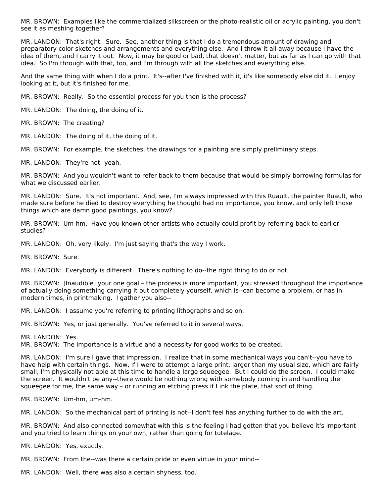MR. BROWN: Examples like the commercialized silkscreen or the photo-realistic oil or acrylic painting, you don't see it as meshing together?

MR. LANDON: That's right. Sure. See, another thing is that I do a tremendous amount of drawing and preparatory color sketches and arrangements and everything else. And I throw it all away because I have the idea of them, and I carry it out. Now, it may be good or bad, that doesn't matter, but as far as I can go with that idea. So I'm through with that, too, and I'm through with all the sketches and everything else.

And the same thing with when I do a print. It's--after I've finished with it, it's like somebody else did it. I enjoy looking at it, but it's finished for me.

MR. BROWN: Really. So the essential process for you then is the process?

MR. LANDON: The doing, the doing of it.

MR. BROWN: The creating?

MR. LANDON: The doing of it, the doing of it.

MR. BROWN: For example, the sketches, the drawings for a painting are simply preliminary steps.

MR. LANDON: They're not--yeah.

MR. BROWN: And you wouldn't want to refer back to them because that would be simply borrowing formulas for what we discussed earlier.

MR. LANDON: Sure. It's not important. And, see, I'm always impressed with this Ruault, the painter Ruault, who made sure before he died to destroy everything he thought had no importance, you know, and only left those things which are damn good paintings, you know?

MR. BROWN: Um-hm. Have you known other artists who actually could profit by referring back to earlier studies?

MR. LANDON: Oh, very likely. I'm just saying that's the way I work.

MR. BROWN: Sure.

MR. LANDON: Everybody is different. There's nothing to do--the right thing to do or not.

MR. BROWN: [Inaudible] your one goal – the process is more important, you stressed throughout the importance of actually doing something carrying it out completely yourself, which is--can become a problem, or has in modern times, in printmaking. I gather you also--

MR. LANDON: I assume you're referring to printing lithographs and so on.

MR. BROWN: Yes, or just generally. You've referred to it in several ways.

MR. LANDON: Yes.

MR. BROWN: The importance is a virtue and a necessity for good works to be created.

MR. LANDON: I'm sure I gave that impression. I realize that in some mechanical ways you can't--you have to have help with certain things. Now, if I were to attempt a large print, larger than my usual size, which are fairly small, I'm physically not able at this time to handle a large squeegee. But I could do the screen. I could make the screen. It wouldn't be any--there would be nothing wrong with somebody coming in and handling the squeegee for me, the same way – or running an etching press if I ink the plate, that sort of thing.

MR. BROWN: Um-hm, um-hm.

MR. LANDON: So the mechanical part of printing is not--I don't feel has anything further to do with the art.

MR. BROWN: And also connected somewhat with this is the feeling I had gotten that you believe it's important and you tried to learn things on your own, rather than going for tutelage.

MR. LANDON: Yes, exactly.

MR. BROWN: From the--was there a certain pride or even virtue in your mind--

MR. LANDON: Well, there was also a certain shyness, too.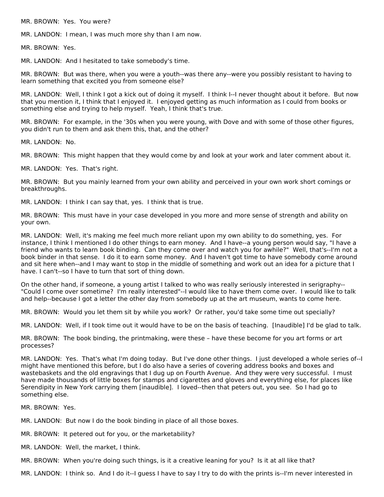MR. BROWN: Yes. You were?

MR. LANDON: I mean, I was much more shy than I am now.

MR. BROWN: Yes.

MR. LANDON: And I hesitated to take somebody's time.

MR. BROWN: But was there, when you were a youth--was there any--were you possibly resistant to having to learn something that excited you from someone else?

MR. LANDON: Well, I think I got a kick out of doing it myself. I think I--I never thought about it before. But now that you mention it, I think that I enjoyed it. I enjoyed getting as much information as I could from books or something else and trying to help myself. Yeah, I think that's true.

MR. BROWN: For example, in the '30s when you were young, with Dove and with some of those other figures, you didn't run to them and ask them this, that, and the other?

MR. LANDON: No.

MR. BROWN: This might happen that they would come by and look at your work and later comment about it.

MR. LANDON: Yes. That's right.

MR. BROWN: But you mainly learned from your own ability and perceived in your own work short comings or breakthroughs.

MR. LANDON: I think I can say that, yes. I think that is true.

MR. BROWN: This must have in your case developed in you more and more sense of strength and ability on your own.

MR. LANDON: Well, it's making me feel much more reliant upon my own ability to do something, yes. For instance, I think I mentioned I do other things to earn money. And I have--a young person would say, "I have a friend who wants to learn book binding. Can they come over and watch you for awhile?" Well, that's--I'm not a book binder in that sense. I do it to earn some money. And I haven't got time to have somebody come around and sit here when--and I may want to stop in the middle of something and work out an idea for a picture that I have. I can't--so I have to turn that sort of thing down.

On the other hand, if someone, a young artist I talked to who was really seriously interested in serigraphy-- "Could I come over sometime? I'm really interested"--I would like to have them come over. I would like to talk and help--because I got a letter the other day from somebody up at the art museum, wants to come here.

MR. BROWN: Would you let them sit by while you work? Or rather, you'd take some time out specially?

MR. LANDON: Well, if I took time out it would have to be on the basis of teaching. [Inaudible] I'd be glad to talk.

MR. BROWN: The book binding, the printmaking, were these – have these become for you art forms or art processes?

MR. LANDON: Yes. That's what I'm doing today. But I've done other things. I just developed a whole series of--I might have mentioned this before, but I do also have a series of covering address books and boxes and wastebaskets and the old engravings that I dug up on Fourth Avenue. And they were very successful. I must have made thousands of little boxes for stamps and cigarettes and gloves and everything else, for places like Serendipity in New York carrying them [inaudible]. I loved--then that peters out, you see. So I had go to something else.

MR. BROWN: Yes.

MR. LANDON: But now I do the book binding in place of all those boxes.

MR. BROWN: It petered out for you, or the marketability?

MR. LANDON: Well, the market, I think.

MR. BROWN: When you're doing such things, is it a creative leaning for you? Is it at all like that?

MR. LANDON: I think so. And I do it--I guess I have to say I try to do with the prints is--I'm never interested in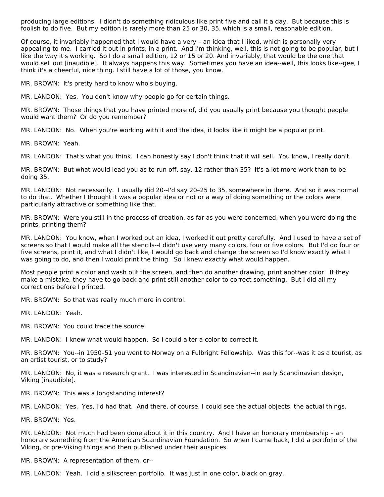producing large editions. I didn't do something ridiculous like print five and call it a day. But because this is foolish to do five. But my edition is rarely more than 25 or 30, 35, which is a small, reasonable edition.

Of course, it invariably happened that I would have a very – an idea that I liked, which is personally very appealing to me. I carried it out in prints, in a print. And I'm thinking, well, this is not going to be popular, but I like the way it's working. So I do a small edition, 12 or 15 or 20. And invariably, that would be the one that would sell out [inaudible]. It always happens this way. Sometimes you have an idea--well, this looks like--gee, I think it's a cheerful, nice thing. I still have a lot of those, you know.

MR. BROWN: It's pretty hard to know who's buying.

MR. LANDON: Yes. You don't know why people go for certain things.

MR. BROWN: Those things that you have printed more of, did you usually print because you thought people would want them? Or do you remember?

MR. LANDON: No. When you're working with it and the idea, it looks like it might be a popular print.

MR. BROWN: Yeah.

MR. LANDON: That's what you think. I can honestly say I don't think that it will sell. You know, I really don't.

MR. BROWN: But what would lead you as to run off, say, 12 rather than 35? It's a lot more work than to be doing 35.

MR. LANDON: Not necessarily. I usually did 20--I'd say 20–25 to 35, somewhere in there. And so it was normal to do that. Whether I thought it was a popular idea or not or a way of doing something or the colors were particularly attractive or something like that.

MR. BROWN: Were you still in the process of creation, as far as you were concerned, when you were doing the prints, printing them?

MR. LANDON: You know, when I worked out an idea, I worked it out pretty carefully. And I used to have a set of screens so that I would make all the stencils--I didn't use very many colors, four or five colors. But I'd do four or five screens, print it, and what I didn't like, I would go back and change the screen so I'd know exactly what I was going to do, and then I would print the thing. So I knew exactly what would happen.

Most people print a color and wash out the screen, and then do another drawing, print another color. If they make a mistake, they have to go back and print still another color to correct something. But I did all my corrections before I printed.

MR. BROWN: So that was really much more in control.

MR. LANDON: Yeah.

MR. BROWN: You could trace the source.

MR. LANDON: I knew what would happen. So I could alter a color to correct it.

MR. BROWN: You--in 1950–51 you went to Norway on a Fulbright Fellowship. Was this for--was it as a tourist, as an artist tourist, or to study?

MR. LANDON: No, it was a research grant. I was interested in Scandinavian--in early Scandinavian design, Viking [inaudible].

MR. BROWN: This was a longstanding interest?

MR. LANDON: Yes. Yes, I'd had that. And there, of course, I could see the actual objects, the actual things.

MR. BROWN: Yes.

MR. LANDON: Not much had been done about it in this country. And I have an honorary membership – an honorary something from the American Scandinavian Foundation. So when I came back, I did a portfolio of the Viking, or pre-Viking things and then published under their auspices.

MR. BROWN: A representation of them, or--

MR. LANDON: Yeah. I did a silkscreen portfolio. It was just in one color, black on gray.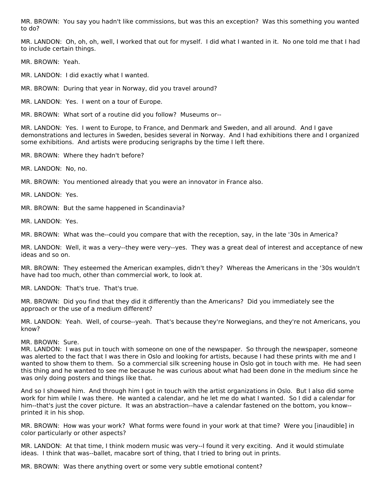MR. BROWN: You say you hadn't like commissions, but was this an exception? Was this something you wanted to do?

MR. LANDON: Oh, oh, oh, well, I worked that out for myself. I did what I wanted in it. No one told me that I had to include certain things.

MR. BROWN: Yeah.

MR. LANDON: I did exactly what I wanted.

MR. BROWN: During that year in Norway, did you travel around?

MR. LANDON: Yes. I went on a tour of Europe.

MR. BROWN: What sort of a routine did you follow? Museums or--

MR. LANDON: Yes. I went to Europe, to France, and Denmark and Sweden, and all around. And I gave demonstrations and lectures in Sweden, besides several in Norway. And I had exhibitions there and I organized some exhibitions. And artists were producing serigraphs by the time I left there.

MR. BROWN: Where they hadn't before?

MR. LANDON: No, no.

MR. BROWN: You mentioned already that you were an innovator in France also.

MR. LANDON: Yes.

MR. BROWN: But the same happened in Scandinavia?

MR. LANDON: Yes.

MR. BROWN: What was the--could you compare that with the reception, say, in the late '30s in America?

MR. LANDON: Well, it was a very--they were very--yes. They was a great deal of interest and acceptance of new ideas and so on.

MR. BROWN: They esteemed the American examples, didn't they? Whereas the Americans in the '30s wouldn't have had too much, other than commercial work, to look at.

MR. LANDON: That's true. That's true.

MR. BROWN: Did you find that they did it differently than the Americans? Did you immediately see the approach or the use of a medium different?

MR. LANDON: Yeah. Well, of course--yeah. That's because they're Norwegians, and they're not Americans, you know?

MR. BROWN: Sure.

MR. LANDON: I was put in touch with someone on one of the newspaper. So through the newspaper, someone was alerted to the fact that I was there in Oslo and looking for artists, because I had these prints with me and I wanted to show them to them. So a commercial silk screening house in Oslo got in touch with me. He had seen this thing and he wanted to see me because he was curious about what had been done in the medium since he was only doing posters and things like that.

And so I showed him. And through him I got in touch with the artist organizations in Oslo. But I also did some work for him while I was there. He wanted a calendar, and he let me do what I wanted. So I did a calendar for him--that's just the cover picture. It was an abstraction--have a calendar fastened on the bottom, you know- printed it in his shop.

MR. BROWN: How was your work? What forms were found in your work at that time? Were you [inaudible] in color particularly or other aspects?

MR. LANDON: At that time, I think modern music was very--I found it very exciting. And it would stimulate ideas. I think that was--ballet, macabre sort of thing, that I tried to bring out in prints.

MR. BROWN: Was there anything overt or some very subtle emotional content?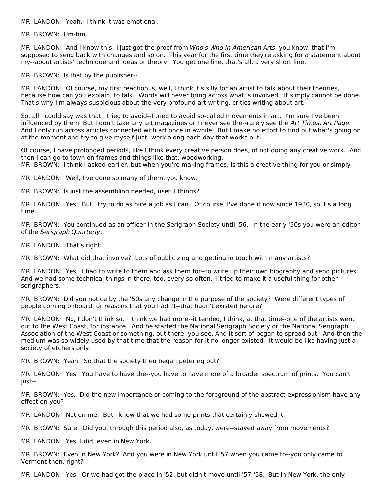MR. LANDON: Yeah. I think it was emotional.

MR. BROWN: Um-hm.

MR. LANDON: And I know this--I just got the proof from Who's Who in American Arts, you know, that I'm supposed to send back with changes and so on. This year for the first time they're asking for a statement about my--about artists' technique and ideas or theory. You get one line, that's all, a very short line.

MR. BROWN: Is that by the publisher--

MR. LANDON: Of course, my first reaction is, well, I think it's silly for an artist to talk about their theories, because how can you explain, to talk. Words will never bring across what is involved. It simply cannot be done. That's why I'm always suspicious about the very profound art writing, critics writing about art.

So, all I could say was that I tried to avoid--I tried to avoid so-called movements in art. I'm sure I've been influenced by them. But I don't take any art magazines or I never see the--rarely see the Art Times, Art Page. And I only run across articles connected with art once in awhile. But I make no effort to find out what's going on at the moment and try to give myself just--work along each day that works out.

Of course, I have prolonged periods, like I think every creative person does, of not doing any creative work. And then I can go to town on frames and things like that; woodworking. MR. BROWN: I think I asked earlier, but when you're making frames, is this a creative thing for you or simply--

MR. LANDON: Well, I've done so many of them, you know.

MR. BROWN: Is just the assembling needed, useful things?

MR. LANDON: Yes. But I try to do as nice a job as I can. Of course, I've done it now since 1930, so it's a long time.

MR. BROWN: You continued as an officer in the Serigraph Society until '56. In the early '50s you were an editor of the Serigraph Quarterly.

MR. LANDON: That's right.

MR. BROWN: What did that involve? Lots of publicizing and getting in touch with many artists?

MR. LANDON: Yes. I had to write to them and ask them for--to write up their own biography and send pictures. And we had some technical things in there, too, every so often. I tried to make it a useful thing for other serigraphers.

MR. BROWN: Did you notice by the '50s any change in the purpose of the society? Were different types of people coming onboard for reasons that you hadn't--that hadn't existed before?

MR. LANDON: No, I don't think so. I think we had more--it tended, I think, at that time--one of the artists went out to the West Coast, for instance. And he started the National Serigraph Society or the National Serigraph Association of the West Coast or something, out there, you see. And it sort of began to spread out. And then the medium was so widely used by that time that the reason for it no longer existed. It would be like having just a society of etchers only.

MR. BROWN: Yeah. So that the society then began petering out?

MR. LANDON: Yes. You have to have the--you have to have more of a broader spectrum of prints. You can't just--

MR. BROWN: Yes. Did the new importance or coming to the foreground of the abstract expressionism have any effect on you?

MR. LANDON: Not on me. But I know that we had some prints that certainly showed it.

MR. BROWN: Sure. Did you, through this period also, as today, were--stayed away from movements?

MR. LANDON: Yes, I did, even in New York.

MR. BROWN: Even in New York? And you were in New York until '57 when you came to--you only came to Vermont then, right?

MR. LANDON: Yes. Or we had got the place in '52, but didn't move until '57-'58. But in New York, the only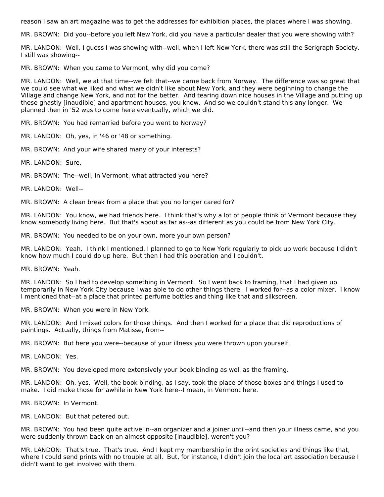reason I saw an art magazine was to get the addresses for exhibition places, the places where I was showing.

MR. BROWN: Did you--before you left New York, did you have a particular dealer that you were showing with?

MR. LANDON: Well, I guess I was showing with--well, when I left New York, there was still the Serigraph Society. I still was showing--

MR. BROWN: When you came to Vermont, why did you come?

MR. LANDON: Well, we at that time--we felt that--we came back from Norway. The difference was so great that we could see what we liked and what we didn't like about New York, and they were beginning to change the Village and change New York, and not for the better. And tearing down nice houses in the Village and putting up these ghastly [inaudible] and apartment houses, you know. And so we couldn't stand this any longer. We planned then in '52 was to come here eventually, which we did.

MR. BROWN: You had remarried before you went to Norway?

MR. LANDON: Oh, yes, in '46 or '48 or something.

MR. BROWN: And your wife shared many of your interests?

MR. LANDON: Sure.

MR. BROWN: The--well, in Vermont, what attracted you here?

MR. LANDON: Well--

MR. BROWN: A clean break from a place that you no longer cared for?

MR. LANDON: You know, we had friends here. I think that's why a lot of people think of Vermont because they know somebody living here. But that's about as far as--as different as you could be from New York City.

MR. BROWN: You needed to be on your own, more your own person?

MR. LANDON: Yeah. I think I mentioned, I planned to go to New York regularly to pick up work because I didn't know how much I could do up here. But then I had this operation and I couldn't.

MR. BROWN: Yeah.

MR. LANDON: So I had to develop something in Vermont. So I went back to framing, that I had given up temporarily in New York City because I was able to do other things there. I worked for--as a color mixer. I know I mentioned that--at a place that printed perfume bottles and thing like that and silkscreen.

MR. BROWN: When you were in New York.

MR. LANDON: And I mixed colors for those things. And then I worked for a place that did reproductions of paintings. Actually, things from Matisse, from--

MR. BROWN: But here you were--because of your illness you were thrown upon yourself.

MR. LANDON: Yes.

MR. BROWN: You developed more extensively your book binding as well as the framing.

MR. LANDON: Oh, yes. Well, the book binding, as I say, took the place of those boxes and things I used to make. I did make those for awhile in New York here--I mean, in Vermont here.

MR. BROWN: In Vermont.

MR. LANDON: But that petered out.

MR. BROWN: You had been quite active in--an organizer and a joiner until--and then your illness came, and you were suddenly thrown back on an almost opposite [inaudible], weren't you?

MR. LANDON: That's true. That's true. And I kept my membership in the print societies and things like that, where I could send prints with no trouble at all. But, for instance, I didn't join the local art association because I didn't want to get involved with them.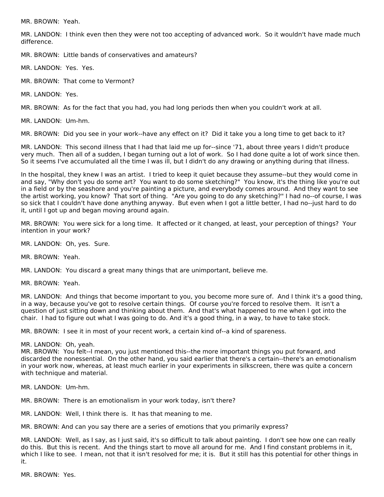MR. BROWN: Yeah.

MR. LANDON: I think even then they were not too accepting of advanced work. So it wouldn't have made much difference.

MR. BROWN: Little bands of conservatives and amateurs?

MR. LANDON: Yes. Yes.

MR. BROWN: That come to Vermont?

MR. LANDON: Yes.

MR. BROWN: As for the fact that you had, you had long periods then when you couldn't work at all.

MR. LANDON: Um-hm.

MR. BROWN: Did you see in your work--have any effect on it? Did it take you a long time to get back to it?

MR. LANDON: This second illness that I had that laid me up for--since '71, about three years I didn't produce very much. Then all of a sudden, I began turning out a lot of work. So I had done quite a lot of work since then. So it seems I've accumulated all the time I was ill, but I didn't do any drawing or anything during that illness.

In the hospital, they knew I was an artist. I tried to keep it quiet because they assume--but they would come in and say, "Why don't you do some art? You want to do some sketching?" You know, it's the thing like you're out in a field or by the seashore and you're painting a picture, and everybody comes around. And they want to see the artist working, you know? That sort of thing. "Are you going to do any sketching?" I had no--of course, I was so sick that I couldn't have done anything anyway. But even when I got a little better, I had no--just hard to do it, until I got up and began moving around again.

MR. BROWN: You were sick for a long time. It affected or it changed, at least, your perception of things? Your intention in your work?

MR. LANDON: Oh, yes. Sure.

MR. BROWN: Yeah.

MR. LANDON: You discard a great many things that are unimportant, believe me.

MR. BROWN: Yeah.

MR. LANDON: And things that become important to you, you become more sure of. And I think it's a good thing, in a way, because you've got to resolve certain things. Of course you're forced to resolve them. It isn't a question of just sitting down and thinking about them. And that's what happened to me when I got into the chair. I had to figure out what I was going to do. And it's a good thing, in a way, to have to take stock.

MR. BROWN: I see it in most of your recent work, a certain kind of--a kind of spareness.

#### MR. LANDON: Oh, yeah.

MR. BROWN: You felt--I mean, you just mentioned this--the more important things you put forward, and discarded the nonessential. On the other hand, you said earlier that there's a certain--there's an emotionalism in your work now, whereas, at least much earlier in your experiments in silkscreen, there was quite a concern with technique and material.

MR. LANDON: Um-hm.

MR. BROWN: There is an emotionalism in your work today, isn't there?

MR. LANDON: Well, I think there is. It has that meaning to me.

MR. BROWN: And can you say there are a series of emotions that you primarily express?

MR. LANDON: Well, as I say, as I just said, it's so difficult to talk about painting. I don't see how one can really do this. But this is recent. And the things start to move all around for me. And I find constant problems in it, which I like to see. I mean, not that it isn't resolved for me; it is. But it still has this potential for other things in it.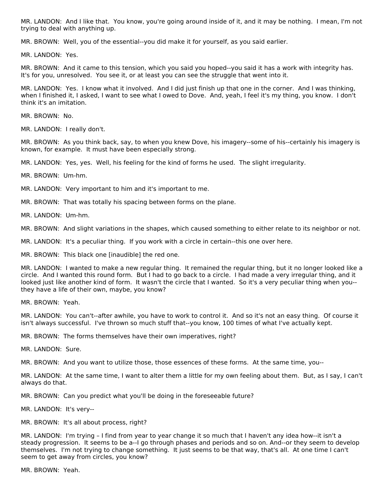MR. LANDON: And I like that. You know, you're going around inside of it, and it may be nothing. I mean, I'm not trying to deal with anything up.

MR. BROWN: Well, you of the essential--you did make it for yourself, as you said earlier.

MR. LANDON: Yes.

MR. BROWN: And it came to this tension, which you said you hoped--you said it has a work with integrity has. It's for you, unresolved. You see it, or at least you can see the struggle that went into it.

MR. LANDON: Yes. I know what it involved. And I did just finish up that one in the corner. And I was thinking, when I finished it, I asked, I want to see what I owed to Dove. And, yeah, I feel it's my thing, you know. I don't think it's an imitation.

MR. BROWN: No.

MR. LANDON: I really don't.

MR. BROWN: As you think back, say, to when you knew Dove, his imagery--some of his--certainly his imagery is known, for example. It must have been especially strong.

MR. LANDON: Yes, yes. Well, his feeling for the kind of forms he used. The slight irregularity.

MR. BROWN: Um-hm.

MR. LANDON: Very important to him and it's important to me.

MR. BROWN: That was totally his spacing between forms on the plane.

MR. LANDON: Um-hm.

MR. BROWN: And slight variations in the shapes, which caused something to either relate to its neighbor or not.

MR. LANDON: It's a peculiar thing. If you work with a circle in certain--this one over here.

MR. BROWN: This black one [inaudible] the red one.

MR. LANDON: I wanted to make a new regular thing. It remained the regular thing, but it no longer looked like a circle. And I wanted this round form. But I had to go back to a circle. I had made a very irregular thing, and it looked just like another kind of form. It wasn't the circle that I wanted. So it's a very peculiar thing when you- they have a life of their own, maybe, you know?

MR. BROWN: Yeah.

MR. LANDON: You can't--after awhile, you have to work to control it. And so it's not an easy thing. Of course it isn't always successful. I've thrown so much stuff that--you know, 100 times of what I've actually kept.

MR. BROWN: The forms themselves have their own imperatives, right?

MR. LANDON: Sure.

MR. BROWN: And you want to utilize those, those essences of these forms. At the same time, you--

MR. LANDON: At the same time, I want to alter them a little for my own feeling about them. But, as I say, I can't always do that.

MR. BROWN: Can you predict what you'll be doing in the foreseeable future?

MR. LANDON: It's very--

MR. BROWN: It's all about process, right?

MR. LANDON: I'm trying – I find from year to year change it so much that I haven't any idea how--it isn't a steady progression. It seems to be a--I go through phases and periods and so on. And--or they seem to develop themselves. I'm not trying to change something. It just seems to be that way, that's all. At one time I can't seem to get away from circles, you know?

MR. BROWN: Yeah.